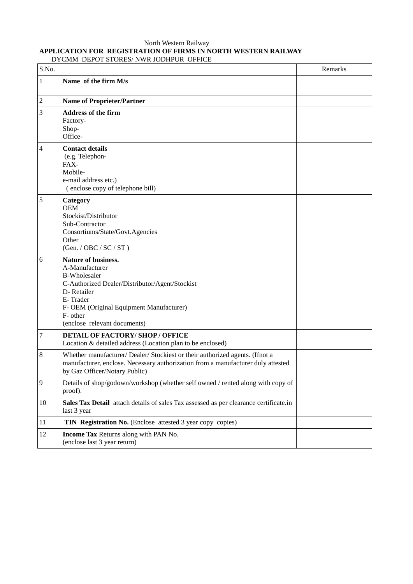### North Western Railway **APPLICATION FOR REGISTRATION OF FIRMS IN NORTH WESTERN RAILWAY** DYCMM DEPOT STORES/ NWR JODHPUR OFFICE

| S.No.          |                                                                                                                                                                                                                                         | Remarks |
|----------------|-----------------------------------------------------------------------------------------------------------------------------------------------------------------------------------------------------------------------------------------|---------|
| $\mathbf{1}$   | Name of the firm M/s                                                                                                                                                                                                                    |         |
| $\overline{c}$ | <b>Name of Proprieter/Partner</b>                                                                                                                                                                                                       |         |
| 3              | <b>Address of the firm</b><br>Factory-<br>Shop-<br>Office-                                                                                                                                                                              |         |
| 4              | <b>Contact details</b><br>(e.g. Telephon-<br>FAX-<br>Mobile-<br>e-mail address etc.)<br>(enclose copy of telephone bill)                                                                                                                |         |
| 5              | Category<br><b>OEM</b><br>Stockist/Distributor<br>Sub-Contractor<br>Consortiums/State/Govt.Agencies<br>Other<br>(Gen. / OBC / SC / ST)                                                                                                  |         |
| 6              | <b>Nature of business.</b><br>A-Manufacturer<br><b>B-Wholesaler</b><br>C-Authorized Dealer/Distributor/Agent/Stockist<br>D-Retailer<br>E-Trader<br>F- OEM (Original Equipment Manufacturer)<br>F- other<br>(enclose relevant documents) |         |
| 7              | <b>DETAIL OF FACTORY/ SHOP/ OFFICE</b><br>Location & detailed address (Location plan to be enclosed)                                                                                                                                    |         |
| 8              | Whether manufacturer/ Dealer/ Stockiest or their authorized agents. (Ifnot a<br>manufacturer, enclose. Necessary authorization from a manufacturer duly attested<br>by Gaz Officer/Notary Public)                                       |         |
| 9              | Details of shop/godown/workshop (whether self owned / rented along with copy of<br>proof).                                                                                                                                              |         |
| 10             | Sales Tax Detail attach details of sales Tax assessed as per clearance certificate.in<br>last 3 year                                                                                                                                    |         |
| 11             | TIN Registration No. (Enclose attested 3 year copy copies)                                                                                                                                                                              |         |
| 12             | <b>Income Tax Returns along with PAN No.</b><br>(enclose last 3 year return)                                                                                                                                                            |         |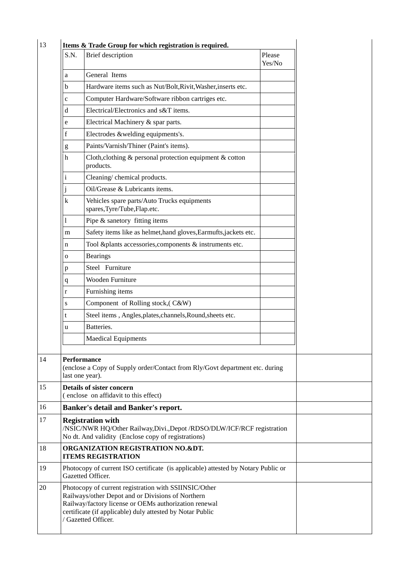|                                                                                                                                                                                                                                                         | Items & Trade Group for which registration is required.                                                |                  |  |  |  |
|---------------------------------------------------------------------------------------------------------------------------------------------------------------------------------------------------------------------------------------------------------|--------------------------------------------------------------------------------------------------------|------------------|--|--|--|
| S.N.                                                                                                                                                                                                                                                    | Brief description                                                                                      | Please<br>Yes/No |  |  |  |
| a                                                                                                                                                                                                                                                       | General Items                                                                                          |                  |  |  |  |
| b                                                                                                                                                                                                                                                       | Hardware items such as Nut/Bolt, Rivit, Washer, inserts etc.                                           |                  |  |  |  |
| $\mathbf{C}$                                                                                                                                                                                                                                            | Computer Hardware/Software ribbon cartriges etc.                                                       |                  |  |  |  |
| d                                                                                                                                                                                                                                                       | Electrical/Electronics and s&T items.                                                                  |                  |  |  |  |
| e                                                                                                                                                                                                                                                       | Electrical Machinery & spar parts.                                                                     |                  |  |  |  |
| f                                                                                                                                                                                                                                                       | Electrodes &welding equipments's.                                                                      |                  |  |  |  |
| g                                                                                                                                                                                                                                                       | Paints/Varnish/Thiner (Paint's items).                                                                 |                  |  |  |  |
| h                                                                                                                                                                                                                                                       | Cloth, clothing $\&$ personal protection equipment $\&$ cotton<br>products.                            |                  |  |  |  |
| i                                                                                                                                                                                                                                                       | Cleaning/chemical products.                                                                            |                  |  |  |  |
|                                                                                                                                                                                                                                                         | Oil/Grease & Lubricants items.                                                                         |                  |  |  |  |
| k                                                                                                                                                                                                                                                       | Vehicles spare parts/Auto Trucks equipments<br>spares, Tyre/Tube, Flap.etc.                            |                  |  |  |  |
|                                                                                                                                                                                                                                                         | Pipe $\&$ sanetory fitting items                                                                       |                  |  |  |  |
| m                                                                                                                                                                                                                                                       | Safety items like as helmet, hand gloves, Earmufts, jackets etc.                                       |                  |  |  |  |
| n                                                                                                                                                                                                                                                       | Tool & plants accessories, components & instruments etc.                                               |                  |  |  |  |
| $\mathbf{O}$                                                                                                                                                                                                                                            | <b>Bearings</b>                                                                                        |                  |  |  |  |
| p                                                                                                                                                                                                                                                       | Steel Furniture                                                                                        |                  |  |  |  |
| q                                                                                                                                                                                                                                                       | Wooden Furniture                                                                                       |                  |  |  |  |
| r                                                                                                                                                                                                                                                       | Furnishing items                                                                                       |                  |  |  |  |
| S                                                                                                                                                                                                                                                       | Component of Rolling stock, (C&W)                                                                      |                  |  |  |  |
| t                                                                                                                                                                                                                                                       | Steel items, Angles, plates, channels, Round, sheets etc.                                              |                  |  |  |  |
| u                                                                                                                                                                                                                                                       | Batteries.                                                                                             |                  |  |  |  |
|                                                                                                                                                                                                                                                         | <b>Maedical Equipments</b>                                                                             |                  |  |  |  |
| Performance<br>(enclose a Copy of Supply order/Contact from Rly/Govt department etc. during<br>last one year).<br><b>Details of sister concern</b><br>(enclose on affidavit to this effect)                                                             |                                                                                                        |                  |  |  |  |
| <b>Banker's detail and Banker's report.</b>                                                                                                                                                                                                             |                                                                                                        |                  |  |  |  |
| <b>Registration with</b><br>/NSIC/NWR HQ/Other Railway, Divi., Depot /RDSO/DLW/ICF/RCF registration<br>No dt. And validity (Enclose copy of registrations)                                                                                              |                                                                                                        |                  |  |  |  |
| ORGANIZATION REGISTRATION NO.&DT.<br><b>ITEMS REGISTRATION</b>                                                                                                                                                                                          |                                                                                                        |                  |  |  |  |
|                                                                                                                                                                                                                                                         | Photocopy of current ISO certificate (is applicable) attested by Notary Public or<br>Gazetted Officer. |                  |  |  |  |
| Photocopy of current registration with SSIINSIC/Other<br>Railways/other Depot and or Divisions of Northern<br>Railway/factory license or OEMs authorization renewal<br>certificate (if applicable) duly attested by Notar Public<br>/ Gazetted Officer. |                                                                                                        |                  |  |  |  |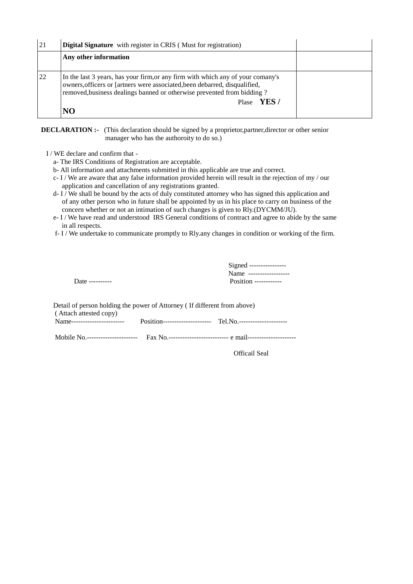| 21 | <b>Digital Signature</b> with register in CRIS (Must for registration)                                                                                                                                                                  |  |
|----|-----------------------------------------------------------------------------------------------------------------------------------------------------------------------------------------------------------------------------------------|--|
|    | Any other information                                                                                                                                                                                                                   |  |
|    |                                                                                                                                                                                                                                         |  |
| 22 | In the last 3 years, has your firm, or any firm with which any of your comany's<br>owners, officers or [artners were associated, been debarred, disqualified,<br>removed, business dealings banned or otherwise prevented from bidding? |  |
|    | YES /<br>Plase                                                                                                                                                                                                                          |  |
|    | NO                                                                                                                                                                                                                                      |  |

**DECLARATION :-** (This declaration should be signed by a proprietor, partner, director or other senior manager who has the authoroity to do so.)

I / WE declare and confirm that -

a- The IRS Conditions of Registration are acceptable.

b- All information and attachments submitted in this applicable are true and correct.

- c- I / We are aware that any false information provided herein will result in the rejection of my / our application and cancellation of any registrations granted.
- $d I$  / We shall be bound by the acts of duly constituted attorney who has signed this application and of any other person who in future shall be appointed by us in his place to carry on business of the concern whether or not an intimation of such changes is given to Rly.(DYCMM/JU).
- e- I / We have read and understood IRS General conditions of contract and agree to abide by the same in all respects.
- f- I / We undertake to communicate promptly to Rly.any changes in condition or working of the firm.

|                 | Signed ----------------- |
|-----------------|--------------------------|
|                 | Name ------------------  |
| Date ---------- | Position ------------    |
|                 |                          |

| Detail of person holding the power of Attorney (If different from above)<br>(Attach attested copy) |  |  |  |  |
|----------------------------------------------------------------------------------------------------|--|--|--|--|
| Name------------------------                                                                       |  |  |  |  |
|                                                                                                    |  |  |  |  |

Officail Seal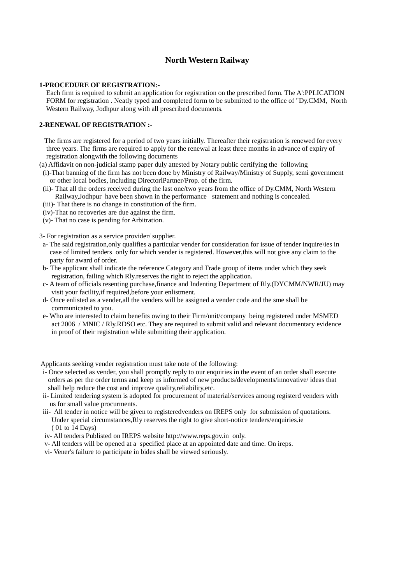## **North Western Railway**

#### **1-PROCEDURE OF REGISTRATION:-**

 Each firm is required to submit an application for registration on the prescribed form. The A':PPLICATION FORM for registration . Neatly typed and completed form to be submitted to the office of "Dy.CMM, North Western Railway, Jodhpur along with all prescribed documents.

#### **2-RENEWAL OF REGISTRATION :-**

 The firms are registered for a period of two years initially. Thereafter their registration is renewed for every three years. The firms are required to apply for the renewal at least three months in advance of expiry of registration alongwith the following documents

(a) Affidavit on non-judicial stamp paper duly attested by Notary public certifying the following

- (i)-That banning of the firm has not been done by Ministry of Railway/Ministry of Supply, semi government or other local bodies, including DirectorlPartner/Prop. of the firm.
- (ii)- That all the orders received during the last one/two years from the office of Dy.CMM, North Western Railway,Jodhpur have been shown in the performance statement and nothing is concealed.
- (iii)- That there is no change in constitution of the firm.
- (iv)-That no recoveries are due against the firm.
- (v)- That no case is pending for Arbitration.

3- For registration as a service provider/ supplier.

- a- The said registration,only qualifies a particular vender for consideration for issue of tender inquire\ies in case of limited tenders only for which vender is registered. However,this will not give any claim to the party for award of order.
- b- The applicant shall indicate the reference Category and Trade group of items under which they seek registration, failing which Rly.reserves the right to reject the application.
- c- A team of officials resenting purchase,finance and Indenting Department of Rly.(DYCMM/NWR/JU) may visit your facility,if required,before your enlistment.
- d- Once enlisted as a vender,all the venders will be assigned a vender code and the sme shall be communicated to you.
- e- Who are interested to claim benefits owing to their Firm/unit/company being registered under MSMED act 2006 / MNIC / Rly.RDSO etc. They are required to submit valid and relevant documentary evidence in proof of their registration while submitting their application.

Applicants seeking vender registration must take note of the following:

- i- Once selected as vender, you shall promptly reply to our enquiries in the event of an order shall execute orders as per the order terms and keep us informed of new products/developments/innovative/ ideas that shall help reduce the cost and improve quality,reliability,etc.
- ii- Limited tendering system is adopted for procurement of material/services among registerd venders with us for small value procurments.
- iii- All tender in notice will be given to registeredvenders on IREPS only for submission of quotations. Under special circumstances,Rly reserves the right to give short-notice tenders/enquiries.ie ( 01 to 14 Days)
- iv- All tenders Publisted on IREPS website [http://www.reps.gov.in](http://www.reps.gov.in/) only.
- v- All tenders will be opened at a specified place at an appointed date and time. On ireps.
- vi- Vener's failure to participate in bides shall be viewed seriously.